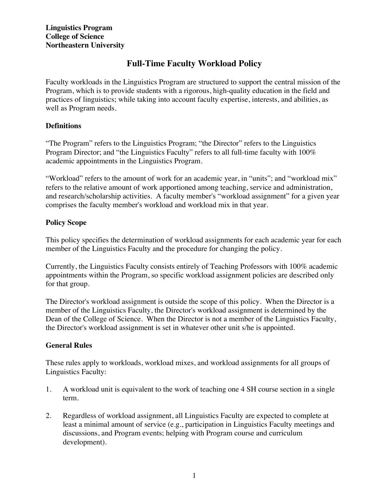# **Full-Time Faculty Workload Policy**

Faculty workloads in the Linguistics Program are structured to support the central mission of the Program, which is to provide students with a rigorous, high-quality education in the field and practices of linguistics; while taking into account faculty expertise, interests, and abilities, as well as Program needs.

#### **Definitions**

"The Program" refers to the Linguistics Program; "the Director" refers to the Linguistics Program Director; and "the Linguistics Faculty" refers to all full-time faculty with 100% academic appointments in the Linguistics Program.

"Workload" refers to the amount of work for an academic year, in "units"; and "workload mix" refers to the relative amount of work apportioned among teaching, service and administration, and research/scholarship activities. A faculty member's "workload assignment" for a given year comprises the faculty member's workload and workload mix in that year.

### **Policy Scope**

This policy specifies the determination of workload assignments for each academic year for each member of the Linguistics Faculty and the procedure for changing the policy.

Currently, the Linguistics Faculty consists entirely of Teaching Professors with 100% academic appointments within the Program, so specific workload assignment policies are described only for that group.

The Director's workload assignment is outside the scope of this policy. When the Director is a member of the Linguistics Faculty, the Director's workload assignment is determined by the Dean of the College of Science. When the Director is not a member of the Linguistics Faculty, the Director's workload assignment is set in whatever other unit s/he is appointed.

## **General Rules**

These rules apply to workloads, workload mixes, and workload assignments for all groups of Linguistics Faculty:

- 1. A workload unit is equivalent to the work of teaching one 4 SH course section in a single term.
- 2. Regardless of workload assignment, all Linguistics Faculty are expected to complete at least a minimal amount of service (e.g., participation in Linguistics Faculty meetings and discussions, and Program events; helping with Program course and curriculum development).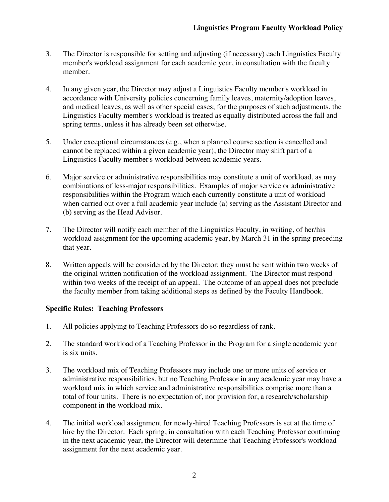- 3. The Director is responsible for setting and adjusting (if necessary) each Linguistics Faculty member's workload assignment for each academic year, in consultation with the faculty member.
- 4. In any given year, the Director may adjust a Linguistics Faculty member's workload in accordance with University policies concerning family leaves, maternity/adoption leaves, and medical leaves, as well as other special cases; for the purposes of such adjustments, the Linguistics Faculty member's workload is treated as equally distributed across the fall and spring terms, unless it has already been set otherwise.
- 5. Under exceptional circumstances (e.g., when a planned course section is cancelled and cannot be replaced within a given academic year), the Director may shift part of a Linguistics Faculty member's workload between academic years.
- 6. Major service or administrative responsibilities may constitute a unit of workload, as may combinations of less-major responsibilities. Examples of major service or administrative responsibilities within the Program which each currently constitute a unit of workload when carried out over a full academic year include (a) serving as the Assistant Director and (b) serving as the Head Advisor.
- 7. The Director will notify each member of the Linguistics Faculty, in writing, of her/his workload assignment for the upcoming academic year, by March 31 in the spring preceding that year.
- 8. Written appeals will be considered by the Director; they must be sent within two weeks of the original written notification of the workload assignment. The Director must respond within two weeks of the receipt of an appeal. The outcome of an appeal does not preclude the faculty member from taking additional steps as defined by the Faculty Handbook.

#### **Specific Rules: Teaching Professors**

- 1. All policies applying to Teaching Professors do so regardless of rank.
- 2. The standard workload of a Teaching Professor in the Program for a single academic year is six units.
- 3. The workload mix of Teaching Professors may include one or more units of service or administrative responsibilities, but no Teaching Professor in any academic year may have a workload mix in which service and administrative responsibilities comprise more than a total of four units. There is no expectation of, nor provision for, a research/scholarship component in the workload mix.
- 4. The initial workload assignment for newly-hired Teaching Professors is set at the time of hire by the Director. Each spring, in consultation with each Teaching Professor continuing in the next academic year, the Director will determine that Teaching Professor's workload assignment for the next academic year.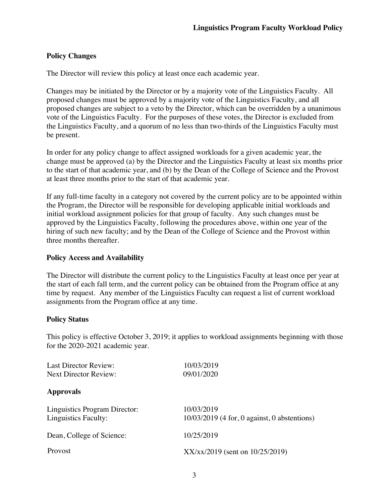## **Policy Changes**

The Director will review this policy at least once each academic year.

Changes may be initiated by the Director or by a majority vote of the Linguistics Faculty. All proposed changes must be approved by a majority vote of the Linguistics Faculty, and all proposed changes are subject to a veto by the Director, which can be overridden by a unanimous vote of the Linguistics Faculty. For the purposes of these votes, the Director is excluded from the Linguistics Faculty, and a quorum of no less than two-thirds of the Linguistics Faculty must be present.

In order for any policy change to affect assigned workloads for a given academic year, the change must be approved (a) by the Director and the Linguistics Faculty at least six months prior to the start of that academic year, and (b) by the Dean of the College of Science and the Provost at least three months prior to the start of that academic year.

If any full-time faculty in a category not covered by the current policy are to be appointed within the Program, the Director will be responsible for developing applicable initial workloads and initial workload assignment policies for that group of faculty. Any such changes must be approved by the Linguistics Faculty, following the procedures above, within one year of the hiring of such new faculty; and by the Dean of the College of Science and the Provost within three months thereafter.

#### **Policy Access and Availability**

The Director will distribute the current policy to the Linguistics Faculty at least once per year at the start of each fall term, and the current policy can be obtained from the Program office at any time by request. Any member of the Linguistics Faculty can request a list of current workload assignments from the Program office at any time.

#### **Policy Status**

This policy is effective October 3, 2019; it applies to workload assignments beginning with those for the 2020-2021 academic year.

| <b>Last Director Review:</b>                                        | 10/03/2019                                                   |  |
|---------------------------------------------------------------------|--------------------------------------------------------------|--|
| Next Director Review:                                               | 09/01/2020                                                   |  |
| <b>Approvals</b>                                                    |                                                              |  |
| <b>Linguistics Program Director:</b><br><b>Linguistics Faculty:</b> | 10/03/2019<br>$10/03/2019$ (4 for, 0 against, 0 abstentions) |  |
| Dean, College of Science:                                           | 10/25/2019                                                   |  |
| Provost                                                             | $XX/xx/2019$ (sent on $10/25/2019$ )                         |  |